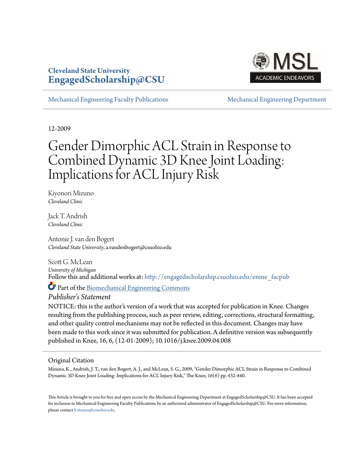# **Cleveland State University [EngagedScholarship@CSU](http://engagedscholarship.csuohio.edu?utm_source=engagedscholarship.csuohio.edu%2Fenme_facpub%2F167&utm_medium=PDF&utm_campaign=PDFCoverPages)**



[Mechanical Engineering Faculty Publications](http://engagedscholarship.csuohio.edu/enme_facpub?utm_source=engagedscholarship.csuohio.edu%2Fenme_facpub%2F167&utm_medium=PDF&utm_campaign=PDFCoverPages) [Mechanical Engineering Department](http://engagedscholarship.csuohio.edu/enme?utm_source=engagedscholarship.csuohio.edu%2Fenme_facpub%2F167&utm_medium=PDF&utm_campaign=PDFCoverPages)

12-2009

# Gender Dimorphic ACL Strain in Response to Combined Dynamic 3D Knee Joint Loading: Implications for ACL Injury Risk

Kiyonori Mizuno *Cleveland Clinic*

Jack T. Andrish *Cleveland Clinic*

Antonie J. van den Bogert *Cleveland State University*, a.vandenbogert@csuohio.edu

Scott G. McLean *University of Michigan* Follow this and additional works at: [http://engagedscholarship.csuohio.edu/enme\\_facpub](http://engagedscholarship.csuohio.edu/enme_facpub?utm_source=engagedscholarship.csuohio.edu%2Fenme_facpub%2F167&utm_medium=PDF&utm_campaign=PDFCoverPages)

Part of the [Biomechanical Engineering Commons](http://network.bepress.com/hgg/discipline/296?utm_source=engagedscholarship.csuohio.edu%2Fenme_facpub%2F167&utm_medium=PDF&utm_campaign=PDFCoverPages)

## *Publisher's Statement*

NOTICE: this is the author's version of a work that was accepted for publication in Knee. Changes resulting from the publishing process, such as peer review, editing, corrections, structural formatting, and other quality control mechanisms may not be reflected in this document. Changes may have been made to this work since it was submitted for publication. A definitive version was subsequently published in Knee, 16, 6, (12-01-2009); 10.1016/j.knee.2009.04.008

### Original Citation

Mizuno, K., Andrish, J. T., van den Bogert, A. J., and McLean, S. G., 2009, "Gender Dimorphic ACL Strain in Response to Combined Dynamic 3D Knee Joint Loading: Implications for ACL Injury Risk," The Knee, 16(6) pp. 432-440.

This Article is brought to you for free and open access by the Mechanical Engineering Department at EngagedScholarship@CSU. It has been accepted for inclusion in Mechanical Engineering Faculty Publications by an authorized administrator of EngagedScholarship@CSU. For more information, please contact [b.strauss@csuohio.edu.](mailto:b.strauss@csuohio.edu)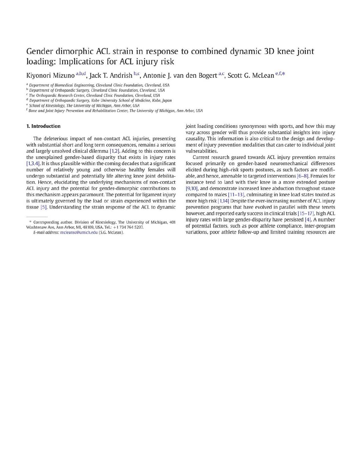## Gender dimorphic ACL strain in response to combined dynamic 3D knee joint loading: Implications for ACL injury risk

Kiyonori Mizuno a,b,d, Jack T. Andrish b,c, Antonie J. van den Bogert a,c, Scott G. McLean e,f,\*

<sup>e</sup> School of Kinesiology. The University of Michigan. Ann Arbor. USA

<sup>f</sup> Bone and Joint Injury Prevention and Rehabilitation Center, The University of Michigan, Ann Arbor, USA

#### 1. Introduction

The deleterious impact of non-contact ACL injuries, presenting with substantial short and long term consequences, remains a serious and largely unsolved clinical dilemma [1,2], Adding to this concern is the unexplained gender-based disparity that exists in injury fates 11.3,4J. It is thus plausible within the coming decades that a significant number of relatively young and otherwise healthy females will undergo substantial and potentially life altering knee joint debilitation. Hence, elucidating the underlying mechanisms of non-contact ACl injury and the potential for gender-dimorphic contributions to this mechanism appears paramount. The potential for ligament injury is ultimately governed by the load or strain experienced within the tissue 15]. Understanding the strain response of the ACl to dynamic joint loading conditions synonymous with sports, and how this may vary across gender will thus provide substantial insights into injury causality. This information is also critical to the design and development of injury prevention modalities that can cater to individual joint vulnerabilities.

Current research geared towards ACl injury prevention remains focused primarily on gender-based neuromechanical differences elicited during high-risk sports postures. as such factors are modifiable, and hence, amenable to targeted interventions [6-8]. Females for instance tend to land with their knee in a more extended posture 19,10], and demonstrate increased knee abduction throughout stance compared to males [11-13], culminating in knee load states touted as more high risk [1,14] Despite the ever-increasing number of ACL injury prevention programs that have evolved in parallel with these tenets however, and reported early success in clinical trials [15-17], high ACL injury rates with large gender-disparity have persisted [4]. A number of potential factors. such as poor athlete compliance. inter-program variations. poor athlete follow-up and limited training resources are

<sup>&</sup>lt;sup>a</sup> Department of Biomedical Engineering, Cleveland Clinic Foundation, Cleveland, USA

<sup>&</sup>lt;sup>b</sup> Department of Orthopaedic Surgery. Cleveland Clinic Foundation, Cleveland, USA

<sup>&</sup>lt;sup>c</sup> The Orthopaedic Research Center, Cleveland Clinic Foundation, Cleveland, USA

<sup>&</sup>lt;sup>d</sup> Department of Orthopaedic Surgery. Kobe University School of Medicine. Kobe. Japan

<sup>\*</sup> Corresponding author. Division of Kinesiology. The University of Michigan, 401 Washtenaw Ave. Ann Arbor. MI. 48109. USA. Tel.: +1 734 764 5237.

E-mail address: mcleansc@umich.edu (S.G. McLean).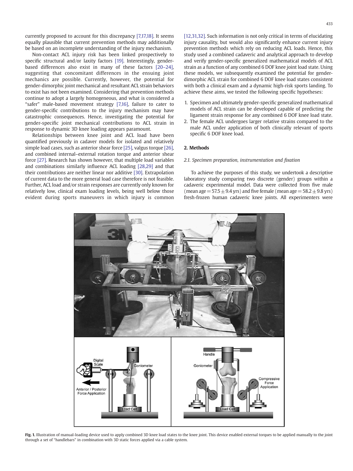currently proposed to account for this discrepancy [7,17,18]. It seems equally plausible that current prevention methods may additionally be based on an incomplete understanding of the injury mechanism.

Non-contact ACL injury risk has been linked prospectively to specific structural and/or laxity factors [19]. Interestingly, genderbased differences also exist in many of these factors [20–24], suggesting that concomitant differences in the ensuing joint mechanics are possible. Currently, however, the potential for gender-dimorphic joint mechanical and resultant ACL strain behaviors to exist has not been examined. Considering that prevention methods continue to adopt a largely homogeneous, and what is considered a "safer" male-based movement strategy [7,16], failure to cater to gender-specific contributions to the injury mechanism may have catastrophic consequences. Hence, investigating the potential for gender-specific joint mechanical contributions to ACL strain in response to dynamic 3D knee loading appears paramount.

Relationships between knee joint and ACL load have been quantified previously in cadaver models for isolated and relatively simple load cases, such as anterior shear force [25], valgus torque [26], and combined internal–external rotation torque and anterior shear force [27]. Research has shown however, that multiple load variables and combinations similarly influence ACL loading [28,29] and that their contributions are neither linear nor additive [30]. Extrapolation of current data to the more general load case therefore is not feasible. Further, ACL load and/or strain responses are currently only known for relatively low, clinical exam loading levels, being well below those evident during sports maneuvers in which injury is common [12,31,32]. Such information is not only critical in terms of elucidating injury causality, but would also significantly enhance current injury prevention methods which rely on reducing ACL loads. Hence, this study used a combined cadaveric and analytical approach to develop and verify gender-specific generalized mathematical models of ACL strain as a function of any combined 6 DOF knee joint load state. Using these models, we subsequently examined the potential for genderdimorphic ACL strain for combined 6 DOF knee load states consistent with both a clinical exam and a dynamic high-risk sports landing. To achieve these aims, we tested the following specific hypotheses:

- 1. Specimen and ultimately gender-specific generalized mathematical models of ACL strain can be developed capable of predicting the ligament strain response for any combined 6 DOF knee load state.
- 2. The female ACL undergoes larger relative strains compared to the male ACL under application of both clinically relevant of sports specific 6 DOF knee load.

#### 2. Methods

#### 2.1. Specimen preparation, instrumentation and fixation

To achieve the purposes of this study, we undertook a descriptive laboratory study comparing two discrete (gender) groups within a cadaveric experimental model. Data were collected from five male (mean age  $=57.5\pm9.4$  yrs) and five female (mean age  $=58.2\pm9.8$  yrs) fresh-frozen human cadaveric knee joints. All experimenters were



Fig. 1. Illustration of manual-loading device used to apply combined 3D knee load states to the knee joint. This device enabled external torques to be applied manually to the joint through a set of "handlebars" in combination with 3D static forces applied via a cable system.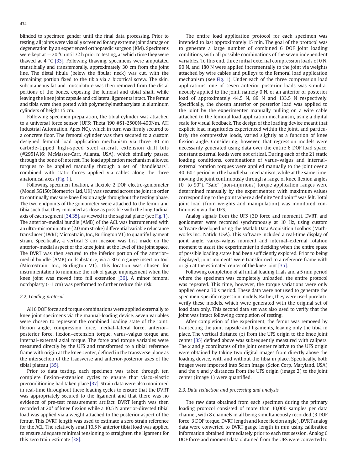blinded to specimen gender until the final data processing. Prior to testing, all joints were visually screened for any extreme joint damage or degeneration by an experienced orthopaedic surgeon (KM). Specimens were kept at  $-20$  °C until 72 h prior to testing, at which time they were thawed at 4 °C [33]. Following thawing, specimens were amputated transtibially and transfemorally, approximately 30 cm from the joint line. The distal fibula (below the fibular neck) was cut, with the remaining portion fixed to the tibia via a bicortical screw. The skin, subcutaneous fat and musculature was then removed from the distal portions of the bones, exposing the femoral and tibial shaft, while leaving the knee joint capsule and collateral ligaments intact. The femur and tibia were then potted with polymethylmethacrylate in aluminum cylinders of height 15 cm.

Following specimen preparation, the tibial cylinder was attached to a universal force sensor (UFS; Theta 190 #S1-2500N-400Nm, ATI Industrial Automation, Apex NC), which in turn was firmly secured to a concrete floor. The femoral cylinder was then secured to a custom designed femoral load application mechanism via three 30 cm carbide-tipped high-speed steel aircraft extension drill bits (#2951A16; McMaster-Carr, Atlanta, USA), which similarly passed through the bone of interest. The load application mechanism allowed torques to be applied manually through a set of "handlebars", combined with static forces applied via cables along the three anatomical axes (Fig. 1).

Following specimen fixation, a flexible 2 DOF electro-goniometer (Model SG150; Biometrics Ltd, UK) was secured across the joint in order to continually measure knee flexion angle throughout the testing phase. The two endpoints of the goniometer were attached to the femur and tibia such that they coincided as close as possible with the longitudinal axis of each segment [34,35], as viewed in the sagittal plane (see Fig.1). The anterior–medial bundle (AMB) of the ACL was instrumented with anultra-microminiature (2.0mm stroke) differential variable reluctance transducer (DVRT; MicroStrain, Inc., Burlington VT) to quantify ligament strain. Specifically, a vertical 3 cm incision was first made on the anterior–medial aspect of the knee joint, at the level of the joint space. The DVRT was then secured to the inferior portion of the anterior– medial bundle (AMB) midsubstance, via a 30 cm gauge insertion tool (MicroStrain, Inc., Burlington VT). This location was chosen for instrumentation to minimize the risk of gauge impingement when the knee joint was moved into full extension [36]. A minor femoral notchplasty (~1 cm) was performed to further reduce this risk.

#### 2.2. Loading protocol

All 6 DOF force and torque combinations were applied externally to knee joint specimens via the manual-loading device. Seven variables were chosen to represent the combined loading state of the joint: flexion angle, compression force, medial–lateral force, anterior– posterior force, flexion–extension torque, varus–valgus torque and internal–external axial torque. The force and torque variables were measured directly by the UFS and transformed to a tibial reference frame with origin at the knee center, defined in the transverse plane as the intersection of the transverse and anterior-posterior axes of the tibial plateau [35].

Prior to data testing, each specimen was taken through ten complete flexion–extension cycles to ensure that visco-elastic preconditioning had taken place [37]. Strain data were also monitored in real-time throughout these loading cycles to ensure that the DVRT was appropriately secured to the ligament and that there was no evidence of pre-test measurement artifact. DVRT length was then recorded at 20° of knee flexion while a 10.5 N anterior-directed tibial load was applied via a weight attached to the posterior aspect of the femur. This DVRT length was used to estimate a zero strain reference for the ACL. The relatively small 10.5 N anterior tibial load was applied to ensure adequate minimal tensioning to straighten the ligament for this zero train estimate [38].

The entire load application protocol for each specimen was intended to last approximately 15 min. The goal of the protocol was to generate a large number of combined 6 DOF joint loading conditions, with all possible combinations of the seven independent variables. To this end, three initial external compression loads of 0 N, 90 N, and 180 N were applied incrementally to the joint via weights attached by wire cables and pulleys to the femoral load application mechanism (see Fig. 1). Under each of the three compression load applications, one of seven anterior–posterior loads was simultaneously applied to the joint, namely 0 N, or an anterior or posterior load of approximately 44.5 N, 89 N and 133.5 N respectively. Specifically, the chosen anterior or posterior load was applied to the joint by the experimenter manually pulling on a wire cable attached to the femoral load application mechanism, using a digital scale for visual feedback. The design of the loading device meant that explicit load magnitudes experienced within the joint, and particularly the compressive loads, varied slightly as a function of knee flexion angle. Considering, however, that regression models were necessarily generated using data over the entire 6 DOF load space, constant external loads were not critical. During each of the 21 static loading conditions, combinations of varus–valgus and internal– external rotation torques were applied manually to the joint over a 40–60 s period via the handlebar mechanism, while at the same time, moving the joint continuously through a range of knee flexion angles (0° to 90°). "Safe" (non-injurious) torque application ranges were determined manually by the experimenter, with maximum values corresponding to the point where a definite "endpoint" was felt. Total joint load (from weights and manipulation) was monitored continuously via the UFS.

Analog signals from the UFS (3D force and moment), DVRT, and goniometer were recorded synchronously at 10 Hz, using custom software developed using the Matlab Data Acquisition Toolbox (Mathworks Inc., Natick, USA). This software included a real-time display of joint angle, varus–valgus moment and internal–external rotation moment to assist the experimenter in deciding when the entire space of possible loading states had been sufficiently explored. Prior to being displayed, joint moments were transformed to a reference frame with origin at the estimated center of the knee joint [35].

Following completion of all initial loading trials and a 5 min period where the specimen was completely unloaded, the entire protocol was repeated. This time, however, the torque variations were only applied over a 30 s period. These data were not used to generate the specimen-specific regression models. Rather, they were used purely to verify these models, which were generated with the original set of load data only. This second data set was also used to verify that the joint was intact following completion of testing.

After completion of the experiment, the femur was removed by transecting the joint capsule and ligaments, leaving only the tibia in place. The vertical distance (z) from the UFS origin to the knee joint center [35] defined above was subsequently measured with calipers. The  $x$  and  $y$  coordinates of the joint center relative to the UFS origin were obtained by taking two digital images from directly above the loading device, with and without the tibia in place. Specifically, both images were imported into Scion Image (Scion Corp, Maryland, USA) and the  $x$  and  $y$  distances from the UFS origin (image 2) to the joint center (image 1) were quantified.

#### 2.3. Data reduction and processing and analysis

The raw data obtained from each specimen during the primary loading protocol consisted of more than 10,000 samples per data channel, with 8 channels in all being simultaneously recorded (3 DOF force, 3 DOF torque, DVRT length and knee flexion angle). DVRT analog data were converted to DVRT gauge length in mm using calibration information obtained immediately prior to each test session. Analog 6 DOF force and moment data obtained from the UFS were converted to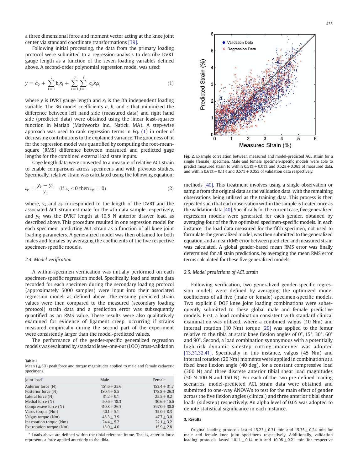a three dimensional force and moment vector acting at the knee joint center via standard coordinate transformations [39].

Following initial processing, the data from the primary loading protocol were submitted to a regression analysis to describe DVRT gauge length as a function of the seven loading variables defined above. A second-order polynomial regression model was used:

$$
y = a_0 + \sum_{i=1}^{7} b_i x_i + \sum_{i=1}^{7} \sum_{j=1}^{i} c_{ij} x_i x_j
$$
 (1)

where y is DVRT gauge length and  $x_i$  is the *i*th independent loading variable. The 36 model coefficients a, b, and c that minimized the difference between left hand side (measured data) and right hand side (predicted data) were obtained using the linear least-squares function in Matlab (Mathworks Inc., Natick, MA). A step-wise approach was used to rank regression terms in Eq. (1) in order of decreasing contributions to the explained variance. The goodness of fit for the regression model was quantified by computing the root-meansquare (RMS) difference between measured and predicted gage lengths for the combined external load state inputs.

Gage length data were converted to a measure of relative ACL strain to enable comparisons across specimens and with previous studies. Specifically, relative strain was calculated using the following equation:

$$
\varepsilon_k = \frac{y_k - y_0}{y_0} \quad (\text{If } \varepsilon_k < 0 \text{ then } \varepsilon_k = 0)
$$
\n<sup>(2)</sup>

where,  $y_k$  and  $\varepsilon_k$  corresponded to the length of the DVRT and the associated ACL strain estimate for the kth data sample respectively, and  $y_0$  was the DVRT length at 10.5 N anterior drawer load, as described above. This procedure resulted in one regression model for each specimen, predicting ACL strain as a function of all knee joint loading parameters. A generalized model was then obtained for both males and females by averaging the coefficients of the five respective specimen-specific models.

#### 2.4. Model verification

A within-specimen verification was initially performed on each specimen-specific regression model. Specifically, load and strain data recorded for each specimen during the secondary loading protocol (approximately 5000 samples) were input into their associated regression model, as defined above. The ensuing predicted strain values were then compared to the measured (secondary loading protocol) strain data and a prediction error was subsequently quantified as an RMS value. These results were also qualitatively examined for evidence of ligament creep, occurring if strains measured empirically during the second part of the experiment were consistently larger than the model-predicted values.

The performance of the gender-specific generalized regression models was evaluated by standard leave-one-out (LOO) cross-validation

#### Table 1

Mean  $(\pm SD)$  peak force and torque magnitudes applied to male and female cadaveric specimens.

| Joint load <sup>a</sup>  | Male             | Female         |
|--------------------------|------------------|----------------|
| Anterior force (N)       | $151.6 + 25.6$   | $153.4 + 31.7$ |
| Posterior force (N)      | $180.4 + 8.5$    | $178.8 + 26.3$ |
| Lateral force (N)        | $31.2 + 9.1$     | $25.5 + 9.2$   |
| Medial force (N)         | $50.6 + 18.3$    | $30.6 + 16.6$  |
| Compressive force (N)    | $410.8 \pm 26.3$ | $397.0 + 38.8$ |
| Varus torque (Nm)        | $40.1 + 5.1$     | $35.0 + 8.3$   |
| Valgus torque (Nm)       | $48.3 + 3.9$     | $47.7 + 3.0$   |
| Int rotation torque (Nm) | $24.4 + 5.2$     | $22.1 + 3.2$   |
| Ext rotation torque (Nm) | $18.0 + 4.0$     | $15.9 + 2.8$   |
|                          |                  |                |

<sup>a</sup> Loads above are defined within the tibial reference frame. That is, anterior force represents a force applied anteriorly to the tibia.



Fig. 2. Example correlation between measured and model-predicted ACL strain for a single (female) specimen. Male and female specimen-specific models were able to predict measured strain to within  $0.51\% \pm 0.01\%$  and  $0.52\% \pm 0.06\%$  of measured data, and within  $0.61\% \pm 0.11\%$  and  $0.57\% \pm 0.05\%$  of validation data respectively.

methods [40]. This treatment involves using a single observation or sample from the original data as the validation data, with the remaining observations being utilized as the training data. This process is then repeated such that each observation within the sample is treated once as the validation data [40]. Specifically for the current case, five generalized regression models were generated for each gender, obtained by averaging four of the five optimized specimen-specific models. In each instance, the load data measured for the fifth specimen, not used to formulate the generalized model, was then submitted to the generalized equation, and a mean RMS error between predicted and measured strain was calculated. A global gender-based mean RMS error was finally determined for all stain predictions, by averaging the mean RMS error terms calculated for these five generalized models.

#### 2.5. Model predictions of ACL strain

Following verification, two generalized gender-specific regression models were defined by averaging the optimized model coefficients of all five (male or female) specimen-specific models. Two explicit 6 DOF knee joint loading combinations were subsequently submitted to these global male and female predictive models. First, a load combination consistent with standard clinical examination was utilized, where a combined valgus (10 Nm) and internal rotation (10 Nm) torque [29] was applied to the femur relative to the tibia at static knee flexion angles of 0°, 15°, 30°, 60° and 90°. Second, a load combination synonymous with a potentially high-risk dynamic sidestep cutting maneuver was adopted [13,31,32,41]. Specifically in this instance, valgus (45 Nm) and internal rotation (20 Nm) moments were applied in combination at a fixed knee flexion angle (40 deg), for a constant compressive load (300 N) and three discrete anterior tibial shear load magnitudes (50 N 100 N and 150 N). For each of the two pre-defined loading scenarios, model-predicted ACL strain data were obtained and submitted to one-way ANOVA's to test for the main effect of gender across the five flexion angles (clinical) and three anterior tibial shear loads (sidestep) respectively. An alpha level of 0.05 was adopted to denote statistical significance in each instance.

#### 3. Results

Original loading protocols lasted  $15.23 \pm 0.31$  min and  $15.35 \pm 0.24$  min for male and female knee joint specimens respectively. Additionally, validation loading protocols lasted  $10.11+0.14$  min and  $10.08+0.21$  min for respective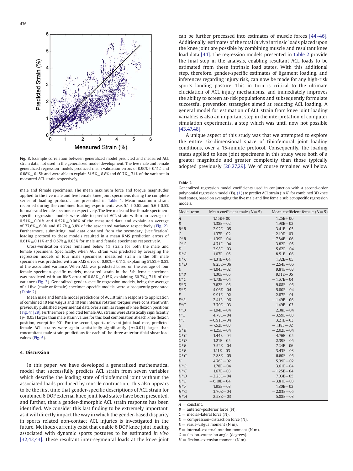

Fig. 3. Example correlation between generalized model predicted and measured ACL strain data, not used in the generalized model development. The five male and female generalized regression models produced mean validation errors of  $0.90\% \pm 0.11\%$  and  $0.88\% \pm 0.15\%$  and were able to explain  $51.5\% \pm 8.8\%$  and  $60.7\% \pm 7.1\%$  of the variance in measured ACL strain respectively.

male and female specimens. The mean maximum force and torque magnitudes applied to the five male and five female knee joint specimens during the complete series of loading protocols are presented in Table 1. Mean maximum strain recorded during the combined loading experiments was  $5.1 \pm 0.6$ % and  $5.6 \pm 0.5$ % for male and female specimens respectively. The five male and five female specimenspecific regression models were able to predict ACL strain within an average of  $0.51\% \pm 0.01\%$  and  $0.52\% \pm 0.06\%$  of the measured data and explain an average of  $77.6\% \pm 6.0\%$  and  $82.7\% \pm 3.8\%$  of the associated variance respectively (Fig. 2). Furthermore, submitting load data obtained from the secondary (verification) loading protocol to these models resulted in a mean RMS prediction errors of  $0.61\% \pm 0.11\%$  and  $0.57\% \pm 0.05\%$  for male and female specimens respectively.

Cross-verification errors remained below 1% strain for both the male and female specimens. Specifically, when ACL strain was predicted by averaging the regression models of four male specimens, measured strain in the 5th male specimen was predicted with an RMS error of  $0.90\% \pm 0.11\%$ , explaining  $51.5\% \pm 8.8\%$ of the associated variance. When ACL was predicted based on the average of four female specimen-specific models, measured strain in the 5th female specimen was predicted with an RMS error of  $0.88\% \pm 0.15\%$ , explaining  $60.7\% \pm 7.1\%$  of the variance (Fig. 3). Generalized gender-specific regression models, being the average of all five (male or female) specimen-specific models, were subsequently generated (Table 2).

Mean male and female model predictions of ACL strain in response to application of combined 10 Nm valgus and 10 Nm internal rotation torques were consistent with previously published experimental data over a similar range of knee flexion positions (Fig. 4) [29]. Furthermore, predicted female ACL strains were statistically significantly  $(p<0.05)$  larger than male strain values for this load combination at each knee flexion position, except for 90°. For the second, sports-relevant joint load case, predicted female ACL strains were again statistically significantly  $(p<0.01)$  larger than concomitant male strain predictions for each of the three anterior tibial shear load values (Fig. 5).

#### 4. Discussion

In this paper, we have developed a generalized mathematical model that successfully predicts ACL strain from seven variables which describe the loading state of tibiofemoral joint without the associated loads produced by muscle contraction. This also appears to be the first time that gender-specific descriptions of ACL strain for combined 6 DOF external knee joint load states have been presented, and further, that a gender-dimorphic ACL strain response has been identified. We consider this last finding to be extremely important, as it will directly impact the way in which the gender-based disparity in sports related non-contact ACL injuries is investigated in the future. Methods currently exist that enable 6 DOF knee joint loading associated with dynamic sports postures to be estimated in vivo [32,42,43]. These resultant inter-segmental loads at the knee joint can be further processed into estimates of muscle forces [44–46]. Additionally, estimates of the total in vivo intrinsic loads placed upon the knee joint are possible by combining muscle and resultant knee load data [44]. The regression models presented in Table 2 provide the final step in the analysis, enabling resultant ACL loads to be estimated from these intrinsic load states. With this additional step, therefore, gender-specific estimates of ligament loading, and inferences regarding injury risk, can now be made for any high-risk sports landing posture. This in turn is critical to the ultimate elucidation of ACL injury mechanisms, and immediately improves the ability to screen at-risk populations and subsequently formulate successful prevention strategies aimed at reducing ACL loading. A general model for estimation of ACL strain from knee joint loading variables is also an important step in the interpretation of computer simulation experiments, a step which was until now not possible [43,47,48].

A unique aspect of this study was that we attempted to explore the entire six-dimensional space of tibiofemoral joint loading conditions, over a 15-minute protocol. Consequently, the loading states applied to knee joint specimens in this study were both of a greater magnitude and greater complexity than those typically adopted previously [26,27,29]. We of course remained well below

Table 2

Generalized regression model coefficients used in conjunction with a second-order polynomial regression model (Eq. (1)) to predict ACL strain (in %) for combined 3D knee load states, based on averaging the five male and five female subject-specific regression models.

| Model term     | Mean coefficient male $(N=5)$ | Mean coefficient female $(N=5)$ |
|----------------|-------------------------------|---------------------------------|
| $\overline{A}$ | $1.15E + 00$                  | $1.25E + 00$                    |
| B              | $1.38E - 02$                  | $1.98E - 02$                    |
| $B * B$        | $2.92E - 05$                  | $3.41E - 05$                    |
| C              | $1.37E - 02$                  | $-2.19E - 03$                   |
| $C^*B$         | $-1.39E - 04$                 | $-7.84E - 06$                   |
| $C^*C$         | $4.71E - 04$                  | $3.82E - 05$                    |
| D              | $-2.98E - 03$                 | $-5.62E - 04$                   |
| $D * B$        | $1.07E - 05$                  | $8.51E - 06$                    |
| $D * C$        | $-1.31E - 04$                 | $1.82E - 05$                    |
| $D^*D$         | $8.25E - 06$                  | $-2.54E - 06$                   |
| E              | $-1.04E - 02$                 | $9.81E - 03$                    |
| $E^*B$         | $1.30E - 05$                  | $9.11E - 05$                    |
| $E^*C$         | $-1.73E - 04$                 | $-1.67E - 04$                   |
| $E^*D$         | $-7.62E - 05$                 | $-9.08E - 05$                   |
| $E^*E$         | $4.06E - 04$                  | $5.80E - 04$                    |
| F              | $9.91E - 02$                  | $2.87E - 01$                    |
| $F * B$        | $2.41E - 06$                  | $-1.49E - 06$                   |
| $F^*C$         | $3.70E - 03$                  | $1.49E - 03$                    |
| $F^*D$         | $-1.94E - 04$                 | $2.38E - 04$                    |
| $F^*E$         | $4.78E - 04$                  | $-3.59E - 03$                   |
| $F^*F$         | $-6.91E - 04$                 | $3.21E - 03$                    |
| G              | $-7.52E - 03$                 | $-1.18E - 02$                   |
| $G * B$        | $-1.25E - 04$                 | $-2.02E - 04$                   |
| $G \ast C$     | $-1.44E - 04$                 | $-4.76E - 05$                   |
| $G^*D$         | $1.21E - 05$                  | $2.39E - 05$                    |
| $G*E$          | $3.52E - 04$                  | $7.24E - 06$                    |
| $G*F$          | $-1.11E - 03$                 | $-3.43E - 03$                   |
| $G * G$        | $-2.88E - 05$                 | $-6.60E - 05$                   |
| H              | $4.76E - 02$                  | $5.39E - 02$                    |
| $H^*B$         | $1.78E - 04$                  | $3.61E - 04$                    |
| $H^*C$         | $1.67E - 03$                  | $-1.25E - 04$                   |
| $H^*D$         | $-2.23E - 04$                 | $7.03E - 05$                    |
| $H^*E$         | $-6.10E - 04$                 | $-3.81E - 03$                   |
| $H^*F$         | $1.95E - 03$                  | $1.80E - 02$                    |
| $H * G$        | $3.70E - 04$                  | $-2.83E - 05$                   |
| $H^*H$         | $2.58E - 03$                  | $5.88E - 03$                    |

 $A =$  constant.

 $B =$  anterior–posterior force  $(N)$ .

 $C =$  medial-lateral force (N).

 $D =$  compression–distraction force (N).

 $E =$  varus–valgus moment (N m).

 $F =$  internal–external rotation moment (N m).

 $G =$  flexion–extension angle (degrees).

 $H =$  flexion–extension moment (N m).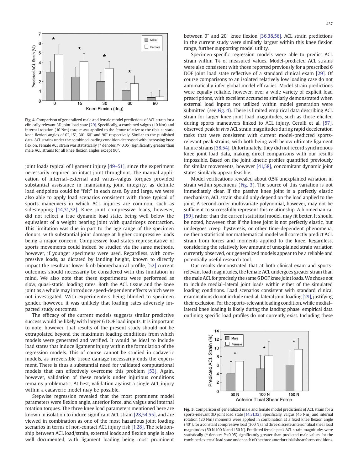

Fig. 4. Comparison of generalized male and female model predictions of ACL strain for a clinically relevant 3D joint load state [29]. Specifically, a combined valgus (10 Nm) and internal rotation (10 Nm) torque was applied to the femur relative to the tibia at static knee flexion angles of 0°, 15°, 30°, 60° and 90° respectively. Similar to the published data, ACL strains under the combined loading condition decreased with increasing knee flexion. Female ACL strain was statistically ( $*$  denotes  $P<0.05$ ) significantly greater than male ACL strains for all knee flexion angles except 90°.

joint loads typical of ligament injury [49–51], since the experiment necessarily required an intact joint throughout. The manual application of internal–external and varus–valgus torques provided substantial assistance in maintaining joint integrity, as definite load endpoints could be "felt" in each case. By and large, we were also able to apply load scenarios consistent with those typical of sports maneuvers in which ACL injuries are common, such as sidestepping [14,31,32]. Knee joint compressive loads, however, did not reflect a true dynamic load state, being well below the equivalent of a weight bearing joint with quadriceps contraction. This limitation was due in part to the age range of the specimen donors, with substantial joint damage at higher compressive loads being a major concern. Compressive load states representative of sports movements could indeed be studied via the same methods, however, if younger specimens were used. Regardless, with compressive loads, as dictated by landing height, known to directly impact the resultant lower limb biomechanical profile, [52] current outcomes should necessarily be considered with this limitation in mind. We also note that these experiments were performed as slow, quasi-static, loading rates. Both the ACL tissue and the knee joint as a whole may introduce speed-dependent effects which were not investigated. With experimenters being blinded to specimen gender, however, it was unlikely that loading rates adversely impacted study outcomes.

The efficacy of the current models suggests similar predictive success would be likely with larger 6 DOF load inputs. It is important to note, however, that results of the present study should not be extrapolated beyond the maximum loading conditions from which models were generated and verified. It would be ideal to include load states that induce ligament injury within the formulation of the regression models. This of course cannot be studied in cadaveric models, as irreversible tissue damage necessarily ends the experiment. There is thus a substantial need for validated computational models that can effectively overcome this problem [53]. Again, however, validation of these models under injurious conditions remains problematic. At best, validation against a single ACL injury within a cadaveric model may be possible.

Stepwise regression revealed that the most prominent model parameters were flexion angle, anterior force, and valgus and internal rotation torques. The three knee load parameters mentioned here are known in isolation to induce significant ACL strain [28,54,55], and are viewed in combination as one of the most hazardous joint loading scenarios in terms of non-contact ACL injury risk [1,28]. The relationship between ACL load/strain, external loads and flexion angle is also well documented, with ligament loading being most prominent between 0° and 20° knee flexion [36,38,56]. ACL strain predictions in the current study were similarly largest within this knee flexion range, further supporting model utility.

Specimen-specific regression models were able to predict ACL strain within 1% of measured values. Model-predicted ACL strains were also consistent with those reported previously for a prescribed 6 DOF joint load state reflective of a standard clinical exam [29]. Of course comparisons to an isolated relatively low loading case do not automatically infer global model efficacies. Model strain predictions were equally reliable, however, over a wide variety of explicit load prescriptions, with excellent accuracies similarly demonstrated when external load inputs not utilized within model generation were submitted (see Fig. 4). There is limited empirical data describing ACL strain for larger knee joint load magnitudes, such as those elicited during sports maneuvers linked to ACL injury. Cerulli et al. [57], observed peak in vivo ACL strain magnitudes during rapid deceleration tasks that were consistent with current model-predicted sportsrelevant peak strains, with both being well below ultimate ligament failure strains [38,54]. Unfortunately, they did not record synchronous knee joint load data, making direct comparisons with our results impossible. Based on the joint kinetic profiles quantified previously for similar movements, however [41,58], concomitant dynamic joint states similarly appear feasible.

Model verifications revealed about 0.5% unexplained variation in strain within specimens (Fig. 3). The source of this variation is not immediately clear. If the passive knee joint is a perfectly elastic mechanism, ACL strain should only depend on the load applied to the joint. A second-order multivariate polynomial, however, may not be sufficient to successfully represent this relationship. A biomechanical [59], rather than the current statistical model, may fit better. It should be noted, however, that if the knee joint is not perfectly elastic, but undergoes creep, hysteresis, or other time-dependent phenomena, neither a statistical nor mathematical model will correctly predict ACL strain from forces and moments applied to the knee. Regardless, considering the relatively low amount of unexplained strain variation currently observed, our generalized models appear to be a reliable and potentially useful research tool.

Our results demonstrated that at both clinical exam and sportsrelevant load magnitudes, the female ACL undergoes greater strain than the male ACL for precisely the same 6 DOF knee joint loads. We chose not to include medial–lateral joint loads within either of the simulated loading conditions. Load scenarios consistent with standard clinical examinations do not include medial–lateral joint loading [29], justifying their exclusion. For the sports-relevant loading condition, while medial– lateral knee loading is likely during the landing phase, empirical data outlining specific load profiles do not currently exist. Including these



Fig. 5. Comparison of generalized male and female model predictions of ACL strain for a sports-relevant 3D joint load state [14,31,32]. Specifically, valgus (45 Nm) and internal rotation (20 Nm) moments were applied in combination at a fixed knee flexion angle (40°), for a constant compressive load (300 N) and three discrete anterior tibial shear load magnitudes (50 N 100 N and 150 N). Predicted female peak ACL strain magnitudes were statistically ( $*$  denotes  $P<0.05$ ) significantly greater than predicted male values for the combined external load state under each ofthe three anterior tibial shear force conditions.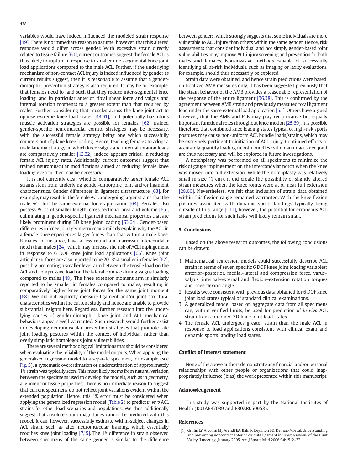variables would have indeed influenced the modeled strain response [49]. There is no immediate reason to assume, however, that this altered response would differ across gender. With excessive strain directly related to tissue failure [60], current outcomes suggest the female ACL is thus likely to rupture in response to smaller inter-segmental knee joint load applications compared to the male ACL. Further, if the underlying mechanism of non-contact ACL injury is indeed influenced by gender as current results suggest, then it is reasonable to assume that a genderdimorphic prevention strategy is also required. It may be for example, that females need to land such that they reduce inter-segmental knee loading, and in particular anterior tibial shear force and valgus and internal rotation moments to a greater extent than that required by males. Further, considering that muscles across the knee joint act to oppose extreme knee load states [44,61], and potentially hazardous muscle activation strategies are possible for females, [62] trained gender-specific neuromuscular control strategies may be necessary, with the successful female strategy being one which successfully counters out of plane knee loading. Hence, teaching females to adopt a male landing strategy, in which knee valgus and internal rotation loads are comparatively smaller [12,32], indeed appears critical in reducing female ACL injury rates. Additionally, current outcomes suggest that trained neuromuscular modifications aimed at reducing female knee loading even further may be necessary.

It is not currently clear whether comparatively larger female ACL strains stem from underlying gender-dimorphic joint and/or ligament characteristics. Gender differences in ligament ultrastructure [63], for example, may result in the female ACL undergoing larger strains that the male ACL for the same external force application [64]. Females also possess ACL's of smaller length, cross sectional area and volume [65], culminating in gender-specific ligament mechanical properties that are likely prominent during 3D knee joint loading [63,64]. Gender-based differences in knee joint geometry may similarly explain why the ACL in a female knee experiences larger forces than that within a male knee. Females for instance, have a less round and narrower intercondylar notch than males [24], which may increase the risk of ACL impingement in response to 6 DOF knee joint load applications [66]. Knee joint articular surfaces are also reported to be 20–35% smaller in females [67], possibly promoting a smaller lever arm between the tensile load on the ACL and compressive load on the lateral condyle during valgus loading compared to males [48]. The knee extensor moment arm is similarly reported to be smaller in females compared to males, resulting in comparatively higher knee joint forces for the same joint moment [68]. We did not explicitly measure ligament and/or joint structural characteristics within the current study and hence are unable to provide substantial insights here. Regardless, further research into the underlying causes of gender-dimorphic knee joint and ACL mechanical behaviors appears well warranted. Such research would further assist in developing neuromuscular prevention strategies that promote safe joint loading postures within the context of individual, rather than overly simplistic homologous joint vulnerabilities.

There are several methodological limitations that should be considered when evaluating the reliability of the model outputs. When applying the generalized regression model to a separate specimen, for example (see Fig. 5), a systematic overestimation or underestimation of approximately 1% strain was typically seen. This most likely stems from natural variation between the specimens used to develop the models, such as in geometry, alignment or tissue properties. There is no immediate reason to suggest that current specimens do not reflect joint variations evident within the extended population. Hence, this 1% error must be considered when applying the generalized regression model (Table 2) to predict in vivo ACL strains for other load scenarios and populations. We thus additionally suggest that absolute strain magnitudes cannot be predicted with this model. It can, however, successfully estimate within-subject changes in ACL strain, such as after neuromuscular training, which essentially modifies knee joint loading [7,15]. The 1% difference in strain observed between specimens of the same gender is similar to the difference

between genders, which strongly suggests that some individuals are more vulnerable to ACL injury than others within the same gender. Hence, risk assessments that consider individual and not simply gender-based joint vulnerabilities, may improve ACL injury screening and prevention for both males and females. Non-invasive methods capable of successfully identifying all at-risk individuals, such as imaging or laxity evaluations, for example, should thus necessarily be explored.

Strain data were obtained, and hence strain predictions were based, on localized AMB measures only. It has been suggested previously that the strain behavior of the AMB provides a reasonable representation of the response of the entire ligament [36,38]. This is confirmed by the agreement between AMB strain and previously measured total ligament load under the same external load application [55]. Others have argued however, that the AMB and PLB may play reciprocative but equally important functional roles throughout knee motion [25,69]. It is possible therefore, that combined knee loading states typical of high-risk sports postures may cause non-uniform ACL bundle loads/strains, which may be extremely pertinent to initiation of ACL injury. Continued efforts to accurately quantify loading in both bundles within an intact knee joint are thus necessary and will be explored in future investigations.

A notchplasty was performed on all specimens to minimize the risk of gauge impingement on the intercondylar notch when the knee was moved into full extension. While the notchplasty was relatively small in size (1 cm), it did create the possibility of slightly altered strain measures when the knee joints were at or near full extension [28,66]. Nevertheless, we felt that inclusion of strain data obtained within this flexion range remained warranted. With the knee flexion postures associated with dynamic sports landings typically being outside of this range [1,11], however, the potential for erroneous ACL strain predictions for such tasks will likely remain small.

#### 5. Conclusions

Based on the above research outcomes, the following conclusions can be drawn:

- 1. Mathematical regression models could successfully describe ACL strain in terms of seven specific 6 DOF knee joint loading variables: anterior–posterior, medial–lateral and compression force, varus– valgus, internal–external and flexion–extension rotation torques and knee flexion angle.
- 2. Results were consistent with previous data obtained for 6 DOF knee joint load states typical of standard clinical examinations.
- 3. A generalized model based on aggregate data from all specimens can, within verified limits, be used for prediction of in vivo ACL strain from combined 3D knee joint load states.
- 4. The female ACL undergoes greater strain than the male ACL in response to load applications consistent with clinical exam and dynamic sports landing load states.

#### Conflict of interest statement

None of the above authors demonstrate any financial and/or personal relationships with other people or organizations that could inappropriately influence (bias) the work presented within this manuscript.

#### Acknowledgement

This study was supported in part by the National Institutes of Health (R01AR47039 and P30AR050953).

#### References

[1] Griffin LY, Albohm MJ, Arendt EA, Bahr R, Beynnon BD, Demaio M, et al. Understanding and preventing noncontact anterior cruciate ligament injuries: a review of the Hunt Valley II meeting, January 2005. Am J Sports Med 2006;34:1512–32.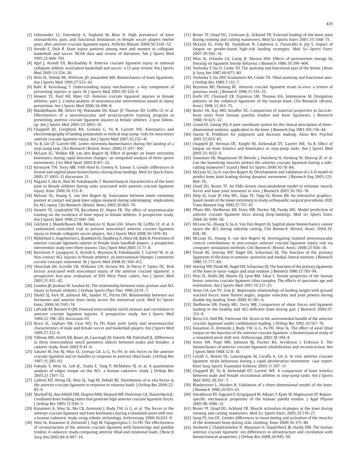- [2] Lohmander LS, Ostenberg A, Englund M, Roos H. High prevalence of knee osteoarthritis, pain, and functional limitations in female soccer players twelve years after anterior cruciate ligament injury. Arthritis Rheum 2004;50:3145–52.
- [3] Arendt E, Dick R. Knee injury patterns among men and women in collegiate basketball and soccer. NCAA data and review of literature. Am J Sports Med 1995;23:694–701.
- [4] Agel J, Arendt EA, Bershadsky B, Anterior cruciate ligament injury in national collegiate athletic association basketball and soccer: a 13-year review. Am J Sports Med 2005;33:524–30.
- [5] Woo SL, Debski RE, Withrow JD, Janaushek MA. Biomechanics of knee ligaments. Am J Sports Med 1999;27:533–43.
- [6] Bahr R, Krosshaug T. Understanding injury mechanisms: a key component of preventing injuries in sport. Br J Sports Med 2005;39:324–9.
- [7] Hewett TE, Ford KR, Myer GD. Anterior cruciate ligament injuries in female athletes: part 2, a meta-analysis of neuromuscular interventions aimed at injury prevention. Am J Sports Med 2006;34:490–8.
- [8] Mandelbaum BR, Silvers HJ, Watanabe DS, Knarr JF, Thomas SD, Griffin LY, et al. Effectiveness of a neuromuscular and proprioceptive training program in preventing anterior cruciate ligament injuries in female athletes: 2-year followup. Am J Sports Med 2005;33:1003–10.
- [9] Chappell JD, Creighton RA, Giuliani C, Yu B, Garrett WE. Kinematics and electromyography of landing preparation in vertical stop-jump: risks for noncontact anterior cruciate ligament injury. Am J Sports Med 2007;35:235–41.
- [10] Yu B, Lin CF, Garrett WE. Lower extremity biomechanics during the landing of a stop-jump task. Clin Biomech (Bristol, Avon) 2006;21:297–305.
- [11] McLean SG, Walker KB, van den Bogert AJ. Effect of gender on lower extremity kinematics during rapid direction changes: an integrated analysis of three sports movements. J Sci Med Sport 2005;8:411–22.
- [12] Kernozek TW, Torry MR, VAN Hoof H, Cowley H, Tanner S. Gender differences in frontal and sagittal plane biomechanics during drop landings. Med Sci Sports Exerc 2005;37:1003–12 discussion 13.
- [13] Nagano Y, Ida H, Akai M, Fukubayashi T. Biomechanical characteristics of the knee joint in female athletes during tasks associated with anterior cruciate ligament injury. Knee 2009;16:153–8.
- [14] McLean SG, Huang X, van den Bogert AJ. Association between lower extremity posture at contact and peak knee valgus moment during sidestepping: implications for ACL injury. Clin Biomech (Bristol, Avon) 2005;20:863–70.
- [15] Hewett TE, Lindenfeld TN, Riccobene JV, Noyes FR. The effect of neuromuscular training on the incidence of knee injury in female athletes. A prospective study. Am J Sports Med 1999;27:699–706.
- [16] Gilchrist J, Mandelbaum BR, Melancon H, Ryan GW, Silvers HJ, Griffin LY, et al. A randomized controlled trial to prevent noncontact anterior cruciate ligament injury in female collegiate soccer players. Am J Sports Med 2008;36:1476–83.
- [17] Myklebust G, Engebretsen L, Braekken IH, Skjolberg A, Olsen OE, Bahr R. Prevention of anterior cruciate ligament injuries in female team handball players: a prospective intervention study over three seasons. Clin J Sport Med 2003;13:71–8.
- [18] Renstrom P, Ljungqvist A, Arendt E, Beynnon B, Fukubayashi T, Garrett W, et al. Non-contact ACL injuries in female athletes: an International Olympic Committee current concepts statement. Br J Sports Med 2008;42:394–412.
- [19] Uhorchak JM, Scoville CR, Williams GN, Arciero RA, St Pierre P, Taylor DC. Risk factors associated with noncontact injury of the anterior cruciate ligament: a prospective four-year evaluation of 859 West Point cadets. Am J Sports Med 2003;31:831–42.
- [20] Loudon JK, Jenkins W, Loudon KL. The relationship between static posture and ACL injury in female athletes. J Orthop Sports Phys Ther 1996;24:91–7.
- [21] Shultz SJ, Kirk SE, Johnson ML, Sander TC, Perrin DH. Relationship between sex hormones and anterior knee laxity across the menstrual cycle. Med Sci Sports Exerc 2004;36:1165–74.
- [22] LaPrade RF, Burnett II QM. Femoral intercondylar notch stenosis and correlation to anterior cruciate ligament injuries. A prospective study. Am J Sports Med 1994;22:198–202 discussion 03.
- [23] Rozzi SL, Lephart SM, Gear WS, Fu FH. Knee joint laxity and neuromuscular characteristics of male and female soccer and basketball players. Am J Sports Med 1999;27:312–9.
- [24] Tillman MD, Smith KR, Bauer JA, Cauraugh JH, Falsetti AB, Pattishall JL. Differences in three intercondylar notch geometry indices between males and females: a cadaver study. Knee 2002;9:41–6.
- [25] Sakane M, Fox RJ, Woo SL, Livesay GA, Li G, Fu FH. In situ forces in the anterior cruciate ligament and its bundles in response to anterior tibial loads. J Orthop Res 1997;15:285–93.
- [26] Fukuda Y, Woo SL, Loh JC, Tsuda E, Tang P, McMahon PJ, et al. A quantitative analysis of valgus torque on the ACL: a human cadaveric study. J Orthop Res 2003;21:1107–12.
- [27] Gabriel MT, Wong EK, Woo SL, Yagi M, Debski RE. Distribution of in situ forces in the anterior cruciate ligament in response to rotatory loads. J Orthop Res 2004;22: 85–9.
- [28] Markolf KL, Burchfield DM, Shapiro MM, Shepard MF, Finerman GA, Slauterbeck JL. Combined knee loading states that generate high anterior cruciate ligament forces. J Orthop Res 1995;13:930–5.
- [29] Kanamori A, Woo SL, Ma CB, Zeminski J, Rudy TW, Li G, et al. The forces in the anterior cruciate ligament and knee kinematics during a simulated pivot shift test: a human cadaveric study using robotic technology. Arthroscopy 2000;16:633–9.
- [30] Woo SL, Kanamori A, Zeminski J, Yagi M, Papageorgiou C, Fu FH. The effectiveness of reconstruction of the anterior cruciate ligament with hamstrings and patellar tendon. A cadaveric study comparing anterior tibial and rotational loads. J Bone Jt Surg Am 2002;84-A:907–14.
- [31] Besier TF, Lloyd DG, Cochrane JL, Ackland TR, External loading of the knee joint during running and cutting maneuvers. Med Sci Sports Exerc 2001;33:1168–75.
- [32] McLean SG, Felin RE, Suedekum N, Calabrese G, Passerallo A, Joy S. Impact of fatigue on gender-based high-risk landing strategies. Med Sci Sports Exerc 2007;39:502–14.
- [33] Woo SL, Orlando CA, Camp JF, Akeson WH. Effects of postmortem storage by freezing on ligament tensile behavior. J Biomech 1986;19:399–404.
- [34] Yoshioka Y, Siu D, Cooke TD. The anatomy and functional axes of the femur. J Bone Jt Surg Am 1987;69:873–80.
- [35] Yoshioka Y, Siu DW, Scudamore RA, Cooke TD. Tibial anatomy and functional axes. J Orthop Res 1989;7:132–7.
- [36] Beynnon BD, Fleming BC. Anterior cruciate ligament strain in-vivo: a review of previous work. J Biomech 1998;31:519–25.
- [37] Harfe DT, Chuinard CR, Espinoza LM, Thomas KA, Solomonow M. Elongation patterns of the collateral ligaments of the human knee. Clin Biomech (Bristol,  $A$ von)  $1998:13:163-75$
- [38] Butler DL, Kay MD, Stouffer DC. Comparison of material properties in fasciclebone units from human patellar tendon and knee ligaments. I Biomech 1988;19:425–32.
- [39] Grood ES, Suntay WJ. A joint coordinate system for the clinical description of threedimensional motions: application to the knee. J Biomech Eng 1983;105:136–44.
- [40] Hastie R. Problems for judgment and decision making. Annu Rev Psychol 2001;52:653–83.
- [41] Chappell JD, Herman DC, Knight BS, Kirkendall DT, Garrett WE, Yu B. Effect of fatigue on knee kinetics and kinematics in stop-jump tasks. Am J Sports Med 2005;33:1022–9.
- [42] Simonsen EB, Magnusson SP, Bencke J, Naesborg H, Havkrog M, Ebstrup JF, et al. Can the hamstring muscles protect the anterior cruciate ligament during a sidecutting maneuver? Scand J Med Sci Sports 2000;10:78–84.
- [43] McLean SG, Su A, van den Bogert AJ. Development and validation of a 3-D model to predict knee joint loading during dynamic movement. J Biomech Eng 2003;125: 864–74.
- [44] Lloyd DG, Besier TF. An EMG-driven musculoskeletal model to estimate muscle forces and knee joint moments in vivo. J Biomech 2003;36:765–76.
- [45] Delp SL, Loan JP, Hoy MG, Zajac FE, Topp EL, Rosen JM. An interactive graphicsbased model of the lower extremity to study orthopaedic surgical procedures. IEEE Trans Biomed Eng 1990;37:757–67.
- [46] Pflum MA, Shelburne KB, Torry MR, Decker MJ, Pandy MG. Model prediction of anterior cruciate ligament force during drop-landings. Med Sci Sports Exerc 2004;36:1949–58.
- [47] McLean SG, Huang X, Su A, Van Den Bogert AJ. Sagittal plane biomechanics cannot injure the ACL during sidestep cutting. Clin Biomech (Bristol, Avon) 2004;19: 828–38.
- [48] McLean SG, Huang X, van den Bogert AJ. Investigating isolated neuromuscular control contributions to non-contact anterior cruciate ligament injury risk via computer simulation methods. Clin Biomech (Bristol, Avon) 2008;23:926–36.
- [49] Piziali RL, Seering WP, Nagel DA, Schurman DJ. The function of the primary ligaments of the knee in anterior–posterior and medial–lateral motions. J Biomech 1980;13:777–84.
- [50] Seering WP, Piziali RL, Nagel DA, Schurman DJ. The function of the primary ligaments of the knee in varus–valgus and axial rotation. J Biomech 1980;13:785–94.
- [51] Woo SL, Hollis JM, Adams DJ, Lyon RM, Takai S. Tensile properties of the human femur–anterior cruciate ligament–tibia complex. The effects of specimen age and orientation. Am J Sports Med 1991;19:217–25.
- [52] Yeow CH, Lee PV, Goh JC. Regression relationships of landing height with ground reaction forces, knee flexion angles, angular velocities and joint powers during double-leg landing. Knee 2009;16:381–6.
- [53] Shelburne KB, Pandy MG, Torry MR. Comparison of shear forces and ligament loading in the healthy and ACL-deficient knee during gait. J Biomech 2004;37: 313–9.
- [54] Berns GS, Hull ML, Patterson HA. Strain in the anteromedial bundle of the anterior cruciate ligament under combination loading. J Orthop Res 1992;10:167–76.
- [55] Kanamori A, Zeminski J, Rudy TW, Li G, Fu FH, Woo SL. The effect of axial tibial torque on the function of the anterior cruciate ligament: a biomechanical study of a simulated pivot shift test. Arthroscopy 2002;18:394–8.
- [56] Arms SW, Pope MH, Johnson RJ, Fischer RA, Arvidsson I, Eriksson E. The biomechanics of anterior cruciate ligament rehabilitation and reconstruction. Am J Sports Med 1984;12:8–18.
- [57] Cerulli G, Benoit DL, Lamontagne M, Caraffa A, Liti A. In vivo anterior cruciate ligament strain behaviour during a rapid deceleration movement: case report. Knee Surg Sports Traumatol Arthrosc 2003;11:307–11.
- [58] Chappell JD, Yu B, Kirkendall DT, Garrett WE. A comparison of knee kinetics between male and female recreational athletes in stop-jump tasks. Am J Sports Med 2002;30:261–7.
- [59] Blankevoort L, Huiskes R. Validation of a three-dimensional model of the knee. J Biomech 1996;29:955–61.
- [60] Haraldsson BT, Aagaard P, Krogsgaard M, Alkjaer T, Kjaer M, Magnusson SP. Regionspecific mechanical properties of the human patella tendon. J Appl Physiol 2005;98:1006–12.
- [61] Besier TF, Lloyd DG, Ackland TR. Muscle activation strategies at the knee during running and cutting maneuvers. Med Sci Sports Exerc 2003;35:119–27.
- [62] Sung PS, Lee DC. Gender differences in onset timing and activation of the muscles of the dominant knee during stair climbing. Knee 2009;16:375–80.
- [63] Hashemi J, Chandrashekar N, Mansouri H, Slauterbeck JR, Hardy DM. The human anterior cruciate ligament: sex differences in ultrastructure and correlation with biomechanical properties. J Orthop Res 2008;26:945–50.